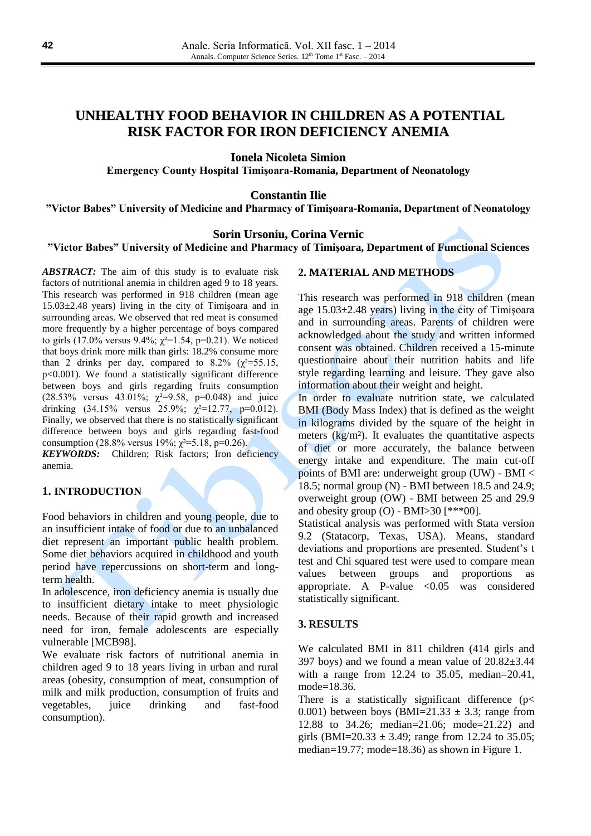# **UNHEALTHY FOOD BEHAVIOR IN CHILDREN AS A POTENTIAL RISK FACTOR FOR IRON DEFICIENCY ANEMIA**

**Ionela Nicoleta Simion**

**Emergency County Hospital Timişoara-Romania, Department of Neonatology**

**Constantin Ilie**

**"Victor Babes" University of Medicine and Pharmacy of Timişoara-Romania, Department of Neonatology**

### **Sorin Ursoniu, Corina Vernic**

**"Victor Babes" University of Medicine and Pharmacy of Timişoara, Department of Functional Sciences**

*ABSTRACT:* The aim of this study is to evaluate risk factors of nutritional anemia in children aged 9 to 18 years. This research was performed in 918 children (mean age  $15.03 \pm 2.48$  years) living in the city of Timisoara and in surrounding areas. We observed that red meat is consumed more frequently by a higher percentage of boys compared to girls (17.0% versus 9.4%;  $\gamma^2 = 1.54$ , p=0.21). We noticed that boys drink more milk than girls: 18.2% consume more than 2 drinks per day, compared to  $8.2\%$  ( $\chi^2$ =55.15, p<0.001). We found a statistically significant difference between boys and girls regarding fruits consumption (28.53% versus 43.01%;  $\chi^2 = 9.58$ , p=0.048) and juice drinking  $(34.15\% \text{ versus } 25.9\%; \gamma^2=12.77, \text{ p}=0.012).$ Finally, we observed that there is no statistically significant difference between boys and girls regarding fast-food consumption (28.8% versus 19%;  $\gamma^2 = 5.18$ , p=0.26).

*KEYWORDS:* Children; Risk factors; Iron deficiency anemia.

### **1. INTRODUCTION**

Food behaviors in children and young people, due to an insufficient intake of food or due to an unbalanced diet represent an important public health problem. Some diet behaviors acquired in childhood and youth period have repercussions on short-term and longterm health.

In adolescence, iron deficiency anemia is usually due to insufficient dietary intake to meet physiologic needs. Because of their rapid growth and increased need for iron, female adolescents are especially vulnerable [MCB98].

We evaluate risk factors of nutritional anemia in children aged 9 to 18 years living in urban and rural areas (obesity, consumption of meat, consumption of milk and milk production, consumption of fruits and vegetables, juice drinking and fast-food consumption).

#### **2. MATERIAL AND METHODS**

This research was performed in 918 children (mean age 15.03±2.48 years) living in the city of Timişoara and in surrounding areas. Parents of children were acknowledged about the study and written informed consent was obtained. Children received a 15-minute questionnaire about their nutrition habits and life style regarding learning and leisure. They gave also information about their weight and height.

In order to evaluate nutrition state, we calculated BMI (Body Mass Index) that is defined as the weight in kilograms divided by the square of the height in meters (kg/m²). It evaluates the quantitative aspects of diet or more accurately, the balance between energy intake and expenditure. The main cut-off points of BMI are: underweight group (UW) - BMI < 18.5; normal group (N) - BMI between 18.5 and 24.9; overweight group (OW) - BMI between 25 and 29.9 and obesity group (O) - BMI $>30$  [\*\*\*00].

Statistical analysis was performed with Stata version 9.2 (Statacorp, Texas, USA). Means, standard deviations and proportions are presented. Student's t test and Chi squared test were used to compare mean values between groups and proportions as appropriate. A P-value  $\langle 0.05$  was considered statistically significant.

### **3. RESULTS**

We calculated BMI in 811 children (414 girls and 397 boys) and we found a mean value of  $20.82\pm3.44$ with a range from 12.24 to 35.05, median=20.41, mode=18.36.

There is a statistically significant difference ( $p$ < 0.001) between boys (BMI=21.33  $\pm$  3.3; range from 12.88 to 34.26; median=21.06; mode=21.22) and girls (BMI=20.33  $\pm$  3.49; range from 12.24 to 35.05; median=19.77; mode=18.36) as shown in Figure 1.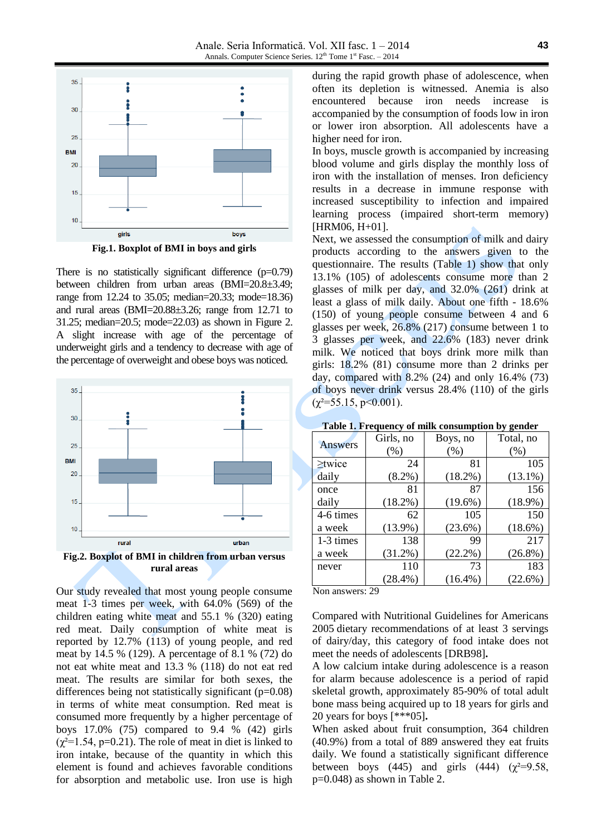

**Fig.1. Boxplot of BMI in boys and girls**

There is no statistically significant difference  $(p=0.79)$ between children from urban areas (BMI=20.8±3.49; range from 12.24 to 35.05; median=20.33; mode=18.36) and rural areas (BMI=20.88±3.26; range from 12.71 to 31.25; median=20.5; mode=22.03) as shown in Figure 2. A slight increase with age of the percentage of underweight girls and a tendency to decrease with age of the percentage of overweight and obese boys was noticed.



Our study revealed that most young people consume meat 1-3 times per week, with 64.0% (569) of the children eating white meat and 55.1 % (320) eating red meat. Daily consumption of white meat is reported by 12.7% (113) of young people, and red meat by 14.5 % (129). A percentage of 8.1 % (72) do not eat white meat and 13.3 % (118) do not eat red meat. The results are similar for both sexes, the differences being not statistically significant (p=0.08) in terms of white meat consumption. Red meat is consumed more frequently by a higher percentage of boys 17.0% (75) compared to 9.4 % (42) girls  $(\chi^2=1.54, p=0.21)$ . The role of meat in diet is linked to iron intake, because of the quantity in which this element is found and achieves favorable conditions for absorption and metabolic use. Iron use is high during the rapid growth phase of adolescence, when often its depletion is witnessed. Anemia is also encountered because iron needs increase is accompanied by the consumption of foods low in iron or lower iron absorption. All adolescents have a higher need for iron.

In boys, muscle growth is accompanied by increasing blood volume and girls display the monthly loss of iron with the installation of menses. Iron deficiency results in a decrease in immune response with increased susceptibility to infection and impaired learning process (impaired short-term memory) [HRM06, H+01].

Next, we assessed the consumption of milk and dairy products according to the answers given to the questionnaire. The results (Table 1) show that only 13.1% (105) of adolescents consume more than 2 glasses of milk per day, and 32.0% (261) drink at least a glass of milk daily. About one fifth - 18.6% (150) of young people consume between 4 and 6 glasses per week, 26.8% (217) consume between 1 to 3 glasses per week, and 22.6% (183) never drink milk. We noticed that boys drink more milk than girls: 18.2% (81) consume more than 2 drinks per day, compared with 8.2% (24) and only 16.4% (73) of boys never drink versus 28.4% (110) of the girls  $(\chi^2 = 55.15, \, \text{p} < 0.001).$ 

| <b>Answers</b> | Girls, no  | Boys, no   | Total, no  |
|----------------|------------|------------|------------|
|                | (% )       | (% )       | (% )       |
| $\geq$ twice   | 24         | 81         | 105        |
| daily          | $(8.2\%)$  | $(18.2\%)$ | $(13.1\%)$ |
| once           | 81         | 87         | 156        |
| daily          | $(18.2\%)$ | $(19.6\%)$ | $(18.9\%)$ |
| 4-6 times      | 62         | 105        | 150        |
| a week         | $(13.9\%)$ | $(23.6\%)$ | $(18.6\%)$ |
| 1-3 times      | 138        | 99         | 217        |
| a week         | $(31.2\%)$ | $(22.2\%)$ | $(26.8\%)$ |
| never          | 110        | 73         | 183        |
|                | $(28.4\%)$ | $(16.4\%)$ | $(22.6\%)$ |

**Table 1. Frequency of milk consumption by gender**

Non answers: 29

Compared with Nutritional Guidelines for Americans 2005 dietary recommendations of at least 3 servings of dairy/day, this category of food intake does not meet the needs of adolescents [DRB98]**.**

A low calcium intake during adolescence is a reason for alarm because adolescence is a period of rapid skeletal growth, approximately 85-90% of total adult bone mass being acquired up to 18 years for girls and 20 years for boys [\*\*\*05]**.**

When asked about fruit consumption, 364 children (40.9%) from a total of 889 answered they eat fruits daily. We found a statistically significant difference between boys (445) and girls (444) ( $\chi^2$ =9.58, p=0.048) as shown in Table 2.